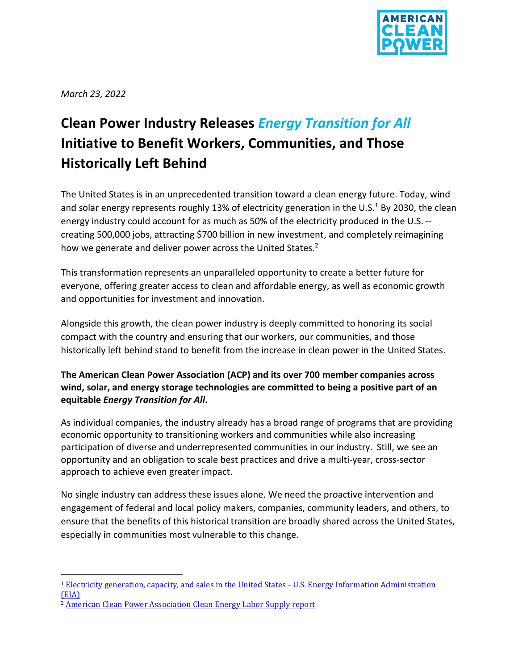

*March 23, 2022*

# **Clean Power Industry Releases** *Energy Transition for All* **Initiative to Benefit Workers, Communities, and Those Historically Left Behind**

The United States is in an unprecedented transition toward a clean energy future. Today, wind and solar energy represents roughly 13% of electricity generation in the U.S.<sup>1</sup> By 2030, the clean energy industry could account for as much as 50% of the electricity produced in the U.S. - creating 500,000 jobs, attracting \$700 billion in new investment, and completely reimagining how we generate and deliver power across the United States.<sup>2</sup>

This transformation represents an unparalleled opportunity to create a better future for everyone, offering greater access to clean and affordable energy, as well as economic growth and opportunities for investment and innovation.

Alongside this growth, the clean power industry is deeply committed to honoring its social compact with the country and ensuring that our workers, our communities, and those historically left behind stand to benefit from the increase in clean power in the United States.

## **The American Clean Power Association (ACP) and its over 700 member companies across wind, solar, and energy storage technologies are committed to being a positive part of an equitable** *Energy Transition for All***.**

As individual companies, the industry already has a broad range of programs that are providing economic opportunity to transitioning workers and communities while also increasing participation of diverse and underrepresented communities in our industry. Still, we see an opportunity and an obligation to scale best practices and drive a multi-year, cross-sector approach to achieve even greater impact.

No single industry can address these issues alone. We need the proactive intervention and engagement of federal and local policy makers, companies, community leaders, and others, to ensure that the benefits of this historical transition are broadly shared across the United States, especially in communities most vulnerable to this change.

<sup>1</sup> [Electricity generation, capacity, and sales in the United States -](https://www.eia.gov/energyexplained/electricity/electricity-in-the-us-generation-capacity-and-sales.php) U.S. Energy Information Administration [\(EIA\)](https://www.eia.gov/energyexplained/electricity/electricity-in-the-us-generation-capacity-and-sales.php)

<sup>2</sup> [American Clean Power Association Clean Energy Labor Supply report](https://cleanpower.org/resources/cleanenergylaborsupply/)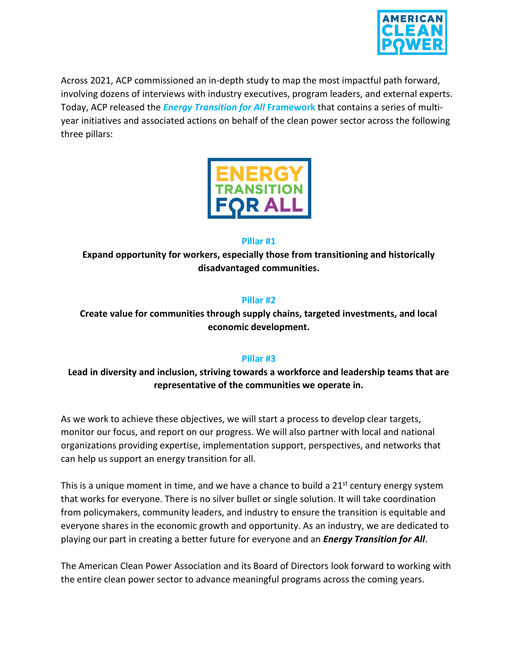

Across 2021, ACP commissioned an in-depth study to map the most impactful path forward, involving dozens of interviews with industry executives, program leaders, and external experts. Today, ACP released the *Energy Transition for All* **Framework** that contains a series of multiyear initiatives and associated actions on behalf of the clean power sector across the following three pillars:



#### **Pillar #1**

**Expand opportunity for workers, especially those from transitioning and historically disadvantaged communities.**

### **Pillar #2**

## **Create value for communities through supply chains, targeted investments, and local economic development.**

#### **Pillar #3**

## **Lead in diversity and inclusion, striving towards a workforce and leadership teams that are representative of the communities we operate in.**

As we work to achieve these objectives, we will start a process to develop clear targets, monitor our focus, and report on our progress. We will also partner with local and national organizations providing expertise, implementation support, perspectives, and networks that can help us support an energy transition for all.

This is a unique moment in time, and we have a chance to build a  $21<sup>st</sup>$  century energy system that works for everyone. There is no silver bullet or single solution. It will take coordination from policymakers, community leaders, and industry to ensure the transition is equitable and everyone shares in the economic growth and opportunity. As an industry, we are dedicated to playing our part in creating a better future for everyone and an *Energy Transition for All*.

The American Clean Power Association and its Board of Directors look forward to working with the entire clean power sector to advance meaningful programs across the coming years.